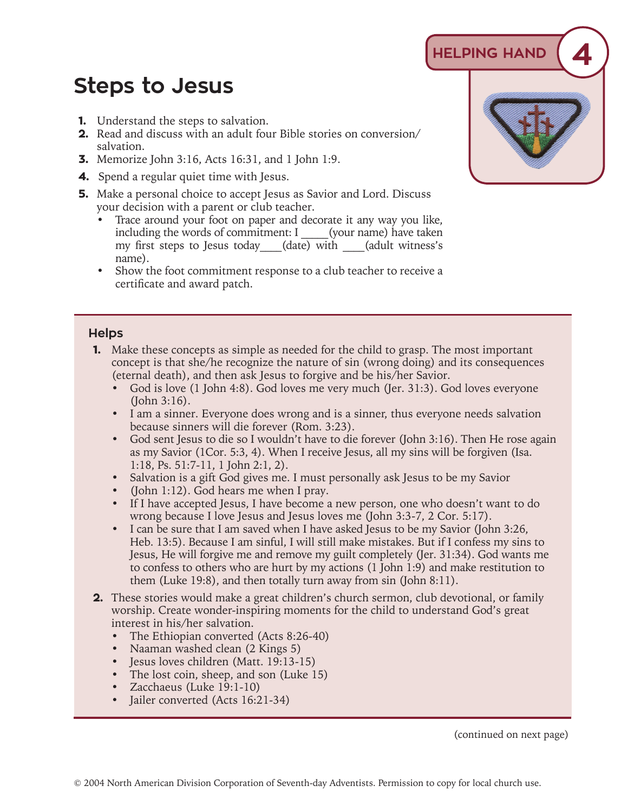## **Steps to Jesus**

- **1.** Understand the steps to salvation.
- **2.** Read and discuss with an adult four Bible stories on conversion/ salvation.
- **3.** Memorize John 3:16, Acts 16:31, and 1 John 1:9.
- **4.** Spend a regular quiet time with Jesus.
- **5.** Make a personal choice to accept Jesus as Savior and Lord. Discuss your decision with a parent or club teacher.
	- Trace around your foot on paper and decorate it any way you like, including the words of commitment: I (your name) have taken my first steps to Jesus today (date) with (adult witness's name).
	- Show the foot commitment response to a club teacher to receive a certificate and award patch.

## **Helps**

- **1.** Make these concepts as simple as needed for the child to grasp. The most important concept is that she/he recognize the nature of sin (wrong doing) and its consequences (eternal death), and then ask Jesus to forgive and be his/her Savior.
	- God is love (1 John 4:8). God loves me very much (Jer. 31:3). God loves everyone (John 3:16).
	- I am a sinner. Everyone does wrong and is a sinner, thus everyone needs salvation because sinners will die forever (Rom. 3:23).
	- God sent Jesus to die so I wouldn't have to die forever (John 3:16). Then He rose again as my Savior (1Cor. 5:3, 4). When I receive Jesus, all my sins will be forgiven (Isa. 1:18, Ps. 51:7-11, 1 John 2:1, 2).
	- Salvation is a gift God gives me. I must personally ask Jesus to be my Savior
	- (John 1:12). God hears me when I pray.
	- If I have accepted Jesus, I have become a new person, one who doesn't want to do wrong because I love Jesus and Jesus loves me (John 3:3-7, 2 Cor. 5:17).
	- I can be sure that I am saved when I have asked Jesus to be my Savior (John 3:26, Heb. 13:5). Because I am sinful, I will still make mistakes. But if I confess my sins to Jesus, He will forgive me and remove my guilt completely (Jer. 31:34). God wants me to confess to others who are hurt by my actions (1 John 1:9) and make restitution to them (Luke 19:8), and then totally turn away from sin (John 8:11).
- **2.** These stories would make a great children's church sermon, club devotional, or family worship. Create wonder-inspiring moments for the child to understand God's great interest in his/her salvation.
	- The Ethiopian converted (Acts 8:26-40)
	- Naaman washed clean (2 Kings 5)
	- Jesus loves children (Matt. 19:13-15)
	- The lost coin, sheep, and son (Luke 15)
	- Zacchaeus (Luke 19:1-10)
	- Jailer converted (Acts 16:21-34)

(continued on next page)